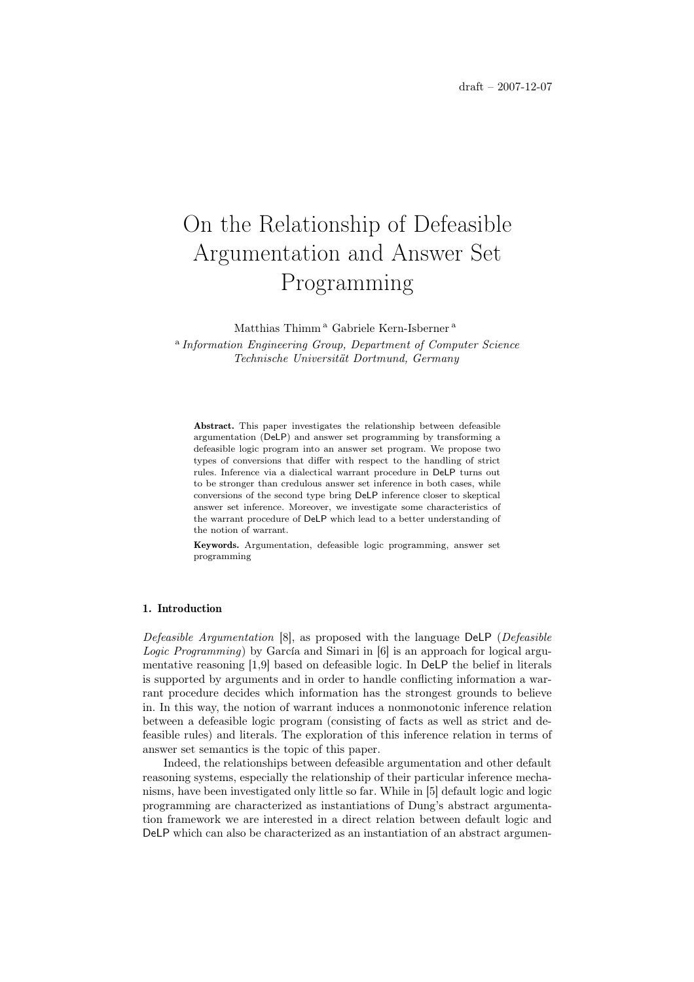# On the Relationship of Defeasible Argumentation and Answer Set Programming

Matthias Thimm<sup>a</sup> Gabriele Kern-Isberner<sup>a</sup>

<sup>a</sup> Information Engineering Group, Department of Computer Science Technische Universität Dortmund, Germany

Abstract. This paper investigates the relationship between defeasible argumentation (DeLP) and answer set programming by transforming a defeasible logic program into an answer set program. We propose two types of conversions that differ with respect to the handling of strict rules. Inference via a dialectical warrant procedure in DeLP turns out to be stronger than credulous answer set inference in both cases, while conversions of the second type bring DeLP inference closer to skeptical answer set inference. Moreover, we investigate some characteristics of the warrant procedure of DeLP which lead to a better understanding of the notion of warrant.

Keywords. Argumentation, defeasible logic programming, answer set programming

## 1. Introduction

Defeasible Argumentation [8], as proposed with the language DeLP (Defeasible Logic Programming) by García and Simari in [6] is an approach for logical argumentative reasoning [1,9] based on defeasible logic. In DeLP the belief in literals is supported by arguments and in order to handle conflicting information a warrant procedure decides which information has the strongest grounds to believe in. In this way, the notion of warrant induces a nonmonotonic inference relation between a defeasible logic program (consisting of facts as well as strict and defeasible rules) and literals. The exploration of this inference relation in terms of answer set semantics is the topic of this paper.

Indeed, the relationships between defeasible argumentation and other default reasoning systems, especially the relationship of their particular inference mechanisms, have been investigated only little so far. While in [5] default logic and logic programming are characterized as instantiations of Dung's abstract argumentation framework we are interested in a direct relation between default logic and DeLP which can also be characterized as an instantiation of an abstract argumen-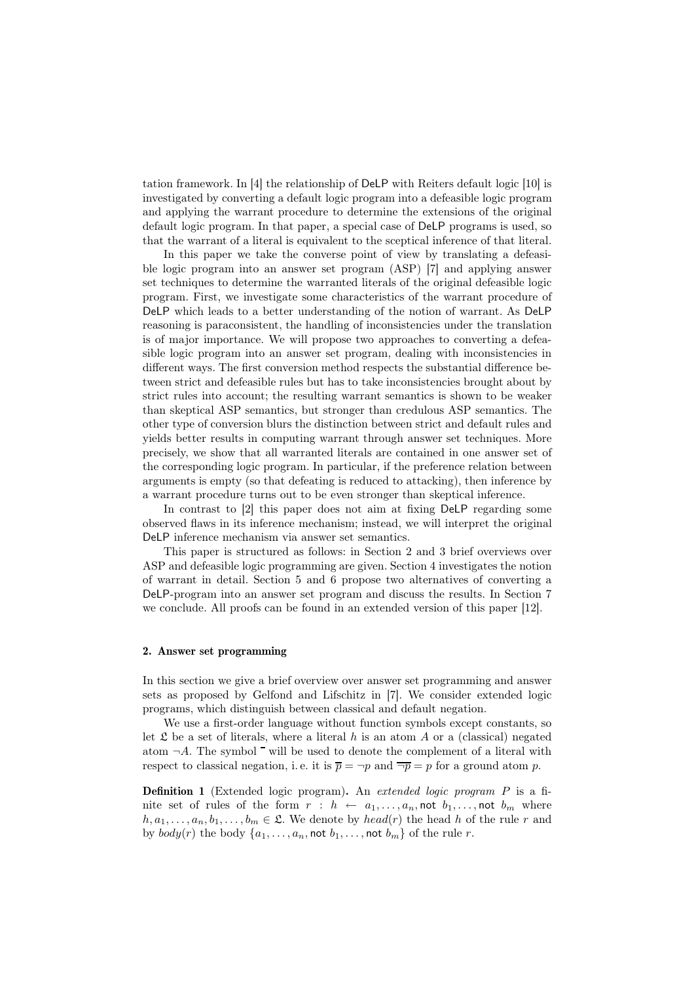tation framework. In [4] the relationship of DeLP with Reiters default logic [10] is investigated by converting a default logic program into a defeasible logic program and applying the warrant procedure to determine the extensions of the original default logic program. In that paper, a special case of DeLP programs is used, so that the warrant of a literal is equivalent to the sceptical inference of that literal.

In this paper we take the converse point of view by translating a defeasible logic program into an answer set program (ASP) [7] and applying answer set techniques to determine the warranted literals of the original defeasible logic program. First, we investigate some characteristics of the warrant procedure of DeLP which leads to a better understanding of the notion of warrant. As DeLP reasoning is paraconsistent, the handling of inconsistencies under the translation is of major importance. We will propose two approaches to converting a defeasible logic program into an answer set program, dealing with inconsistencies in different ways. The first conversion method respects the substantial difference between strict and defeasible rules but has to take inconsistencies brought about by strict rules into account; the resulting warrant semantics is shown to be weaker than skeptical ASP semantics, but stronger than credulous ASP semantics. The other type of conversion blurs the distinction between strict and default rules and yields better results in computing warrant through answer set techniques. More precisely, we show that all warranted literals are contained in one answer set of the corresponding logic program. In particular, if the preference relation between arguments is empty (so that defeating is reduced to attacking), then inference by a warrant procedure turns out to be even stronger than skeptical inference.

In contrast to [2] this paper does not aim at fixing DeLP regarding some observed flaws in its inference mechanism; instead, we will interpret the original DeLP inference mechanism via answer set semantics.

This paper is structured as follows: in Section 2 and 3 brief overviews over ASP and defeasible logic programming are given. Section 4 investigates the notion of warrant in detail. Section 5 and 6 propose two alternatives of converting a DeLP-program into an answer set program and discuss the results. In Section 7 we conclude. All proofs can be found in an extended version of this paper [12].

### 2. Answer set programming

In this section we give a brief overview over answer set programming and answer sets as proposed by Gelfond and Lifschitz in [7]. We consider extended logic programs, which distinguish between classical and default negation.

We use a first-order language without function symbols except constants, so let  $\mathfrak L$  be a set of literals, where a literal h is an atom A or a (classical) negated atom  $\neg A$ . The symbol  $\overline{\phantom{a}}$  will be used to denote the complement of a literal with respect to classical negation, i.e. it is  $\overline{p} = \neg p$  and  $\overline{\neg p} = p$  for a ground atom p.

Definition 1 (Extended logic program). An extended logic program P is a finite set of rules of the form  $r : h \leftarrow a_1, \ldots, a_n$ , not  $b_1, \ldots,$  not  $b_m$  where  $h, a_1, \ldots, a_n, b_1, \ldots, b_m \in \mathfrak{L}$ . We denote by  $head(r)$  the head h of the rule r and by  $body(r)$  the body  $\{a_1, \ldots, a_n, \text{not } b_1, \ldots, \text{not } b_m\}$  of the rule r.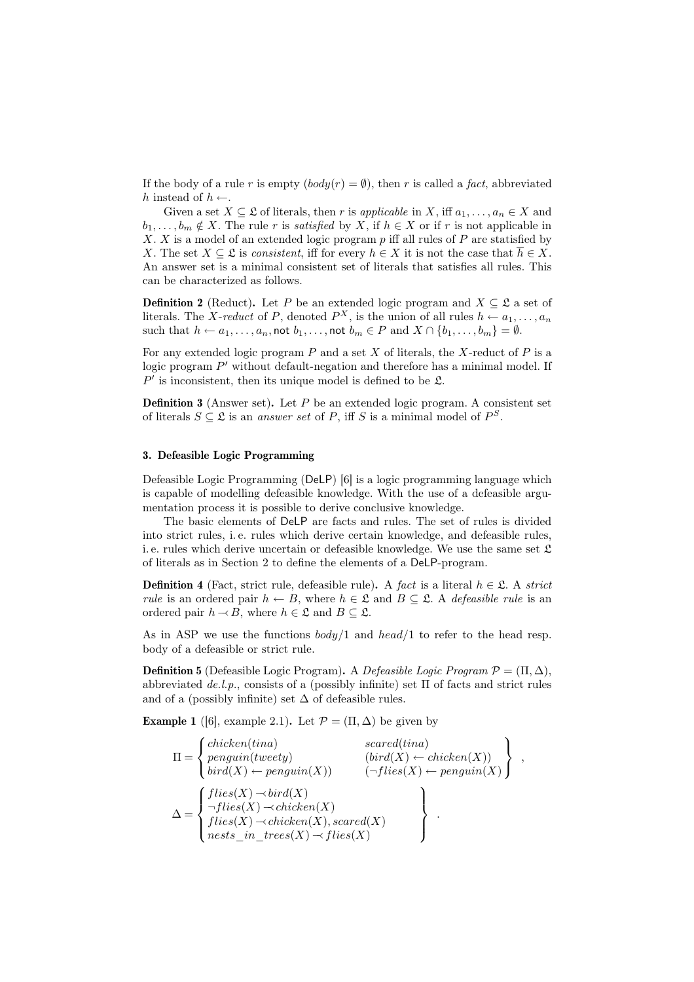If the body of a rule r is empty  $(body(r) = \emptyset)$ , then r is called a fact, abbreviated h instead of  $h \leftarrow$ .

Given a set  $X \subseteq \mathfrak{L}$  of literals, then r is applicable in X, iff  $a_1, \ldots, a_n \in X$  and  $b_1, \ldots, b_m \notin X$ . The rule r is satisfied by X, if  $h \in X$  or if r is not applicable in X. X is a model of an extended logic program  $p$  iff all rules of  $P$  are statisfied by X. The set  $X \subseteq \mathfrak{L}$  is consistent, iff for every  $h \in X$  it is not the case that  $\overline{h} \in X$ . An answer set is a minimal consistent set of literals that satisfies all rules. This can be characterized as follows.

**Definition 2** (Reduct). Let P be an extended logic program and  $X \subseteq \mathfrak{L}$  a set of literals. The *X*-reduct of P, denoted  $P^X$ , is the union of all rules  $h \leftarrow a_1, \ldots, a_n$ such that  $h \leftarrow a_1, \ldots, a_n$ , not  $b_1, \ldots$ , not  $b_m \in P$  and  $X \cap \{b_1, \ldots, b_m\} = \emptyset$ .

For any extended logic program  $P$  and a set  $X$  of literals, the X-reduct of  $P$  is a logic program  $P'$  without default-negation and therefore has a minimal model. If  $P'$  is inconsistent, then its unique model is defined to be  $\mathfrak{L}$ .

**Definition 3** (Answer set). Let  $P$  be an extended logic program. A consistent set of literals  $S \subseteq \mathfrak{L}$  is an answer set of P, iff S is a minimal model of  $P^S$ .

## 3. Defeasible Logic Programming

Defeasible Logic Programming (DeLP) [6] is a logic programming language which is capable of modelling defeasible knowledge. With the use of a defeasible argumentation process it is possible to derive conclusive knowledge.

The basic elements of DeLP are facts and rules. The set of rules is divided into strict rules, i. e. rules which derive certain knowledge, and defeasible rules, i. e. rules which derive uncertain or defeasible knowledge. We use the same set  $\mathfrak L$ of literals as in Section 2 to define the elements of a DeLP-program.

**Definition 4** (Fact, strict rule, defeasible rule). A fact is a literal  $h \in \mathcal{L}$ . A strict rule is an ordered pair  $h \leftarrow B$ , where  $h \in \mathfrak{L}$  and  $B \subset \mathfrak{L}$ . A defeasible rule is an ordered pair  $h \sim B$ , where  $h \in \mathfrak{L}$  and  $B \subseteq \mathfrak{L}$ .

As in ASP we use the functions  $body/1$  and  $head/1$  to refer to the head resp. body of a defeasible or strict rule.

**Definition 5** (Defeasible Logic Program). A Defeasible Logic Program  $\mathcal{P} = (\Pi, \Delta)$ , abbreviated  $de.l.p.,$  consists of a (possibly infinite) set  $\Pi$  of facts and strict rules and of a (possibly infinite) set  $\Delta$  of defeasible rules.

**Example 1** ([6], example 2.1). Let  $\mathcal{P} = (\Pi, \Delta)$  be given by

Π = chicken(tina) scared(tina) penguin(tweety) (bird(X) ← chicken(X)) bird(X) ← penguin(X)) (¬flies(X) ← penguin(X) , ∆ = flies(X) −bird(X) ¬flies(X) −chicken(X) flies(X) −chicken(X), scared(X) nests\_in\_trees(X) − flies(X) .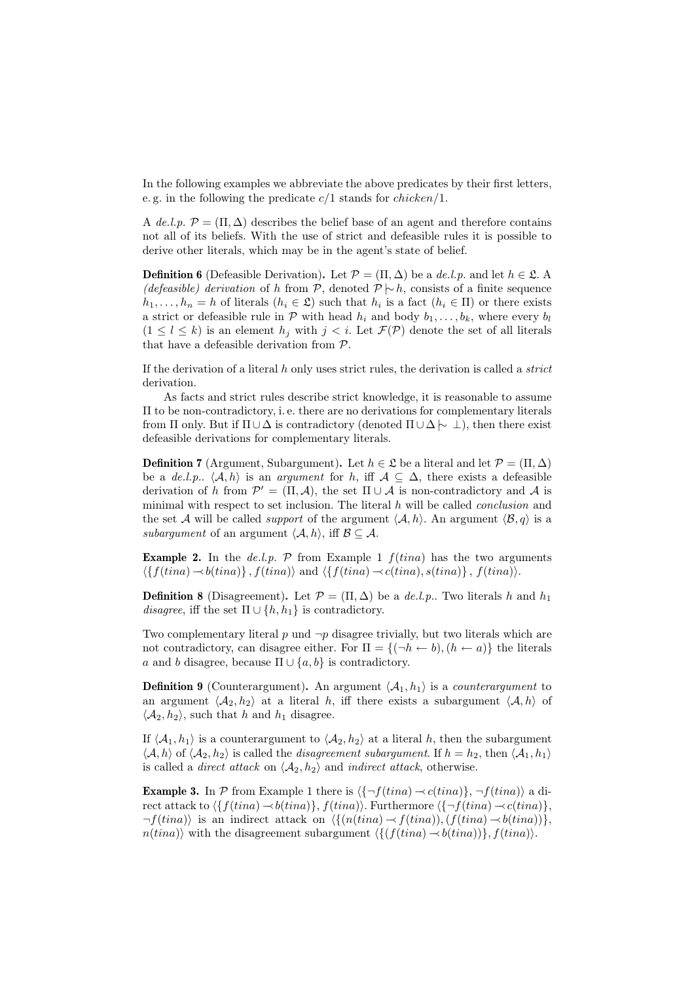In the following examples we abbreviate the above predicates by their first letters, e. g. in the following the predicate  $c/1$  stands for  $chicken/1$ .

A de.l.p.  $\mathcal{P} = (\Pi, \Delta)$  describes the belief base of an agent and therefore contains not all of its beliefs. With the use of strict and defeasible rules it is possible to derive other literals, which may be in the agent's state of belief.

**Definition 6** (Defeasible Derivation). Let  $\mathcal{P} = (\Pi, \Delta)$  be a de.l.p. and let  $h \in \mathcal{L}$ . (defeasible) derivation of h from P, denoted  $\mathcal{P} \mid \sim h$ , consists of a finite sequence  $h_1, \ldots, h_n = h$  of literals  $(h_i \in \mathfrak{L})$  such that  $h_i$  is a fact  $(h_i \in \Pi)$  or there exists a strict or defeasible rule in  $\mathcal P$  with head  $h_i$  and body  $b_1, \ldots, b_k$ , where every  $b_l$  $(1 \leq l \leq k)$  is an element  $h_i$  with  $j \leq i$ . Let  $\mathcal{F}(\mathcal{P})$  denote the set of all literals that have a defeasible derivation from P.

If the derivation of a literal  $h$  only uses strict rules, the derivation is called a *strict* derivation.

As facts and strict rules describe strict knowledge, it is reasonable to assume Π to be non-contradictory, i. e. there are no derivations for complementary literals from Π only. But if  $\Pi \cup \Delta$  is contradictory (denoted  $\Pi \cup \Delta \rightarrow \bot$ ), then there exist defeasible derivations for complementary literals.

**Definition 7** (Argument, Subargument). Let  $h \in \mathcal{L}$  be a literal and let  $\mathcal{P} = (\Pi, \Delta)$ be a de.l.p..  $\langle A, h \rangle$  is an argument for h, iff  $A \subseteq \Delta$ , there exists a defeasible derivation of h from  $\mathcal{P}' = (\Pi, \mathcal{A})$ , the set  $\Pi \cup \mathcal{A}$  is non-contradictory and  $\mathcal{A}$  is minimal with respect to set inclusion. The literal  $h$  will be called *conclusion* and the set A will be called *support* of the argument  $\langle A, h \rangle$ . An argument  $\langle B, q \rangle$  is a subargument of an argument  $\langle A, h \rangle$ , iff  $\mathcal{B} \subseteq \mathcal{A}$ .

**Example 2.** In the *de.l.p.*  $P$  from Example 1  $f(tina)$  has the two arguments  $\langle \{f(tina) \rightarrow b(tina)\}, f(tina)\rangle$  and  $\langle \{f(tina) \rightarrow c(tina), s(tina)\}, f(tina)\rangle$ .

**Definition 8** (Disagreement). Let  $\mathcal{P} = (\Pi, \Delta)$  be a *de.l.p.*. Two literals h and  $h_1$ disagree, iff the set  $\Pi \cup \{h, h_1\}$  is contradictory.

Two complementary literal p und  $\neg p$  disagree trivially, but two literals which are not contradictory, can disagree either. For  $\Pi = \{(\neg h \leftarrow b), (h \leftarrow a)\}\$ the literals a and b disagree, because  $\Pi \cup \{a, b\}$  is contradictory.

**Definition 9** (Counterargument). An argument  $\langle A_1, h_1 \rangle$  is a *counterargument* to an argument  $\langle A_2, h_2 \rangle$  at a literal h, iff there exists a subargument  $\langle A, h \rangle$  of  $\langle A_2, h_2 \rangle$ , such that h and  $h_1$  disagree.

If  $\langle A_1, h_1 \rangle$  is a counterargument to  $\langle A_2, h_2 \rangle$  at a literal h, then the subargument  $\langle A, h \rangle$  of  $\langle A_2, h_2 \rangle$  is called the *disagreement subargument*. If  $h = h_2$ , then  $\langle A_1, h_1 \rangle$ is called a *direct attack* on  $\langle A_2, h_2 \rangle$  and *indirect attack*, otherwise.

**Example 3.** In  $P$  from Example 1 there is  $\langle {\neg f(tina) \neg c(tina)} \rangle$ ,  $\neg f(tina)$  a direct attack to  $\{f(tina) \rightarrow b(tina)\}, f(tina)\}.$  Furthermore  $\{\neg f(tina) \rightarrow c(tina)\},$  $\neg f(tina)$  is an indirect attack on  $\langle \{(n(tina) \rightarrow f(tina)),(f(tina) \rightarrow b(tina))\}\rangle$  $n(tina)$  with the disagreement subargument  $\langle \{ (f(tina) \rightarrow b(tina)) \}, f(tina) \rangle$ .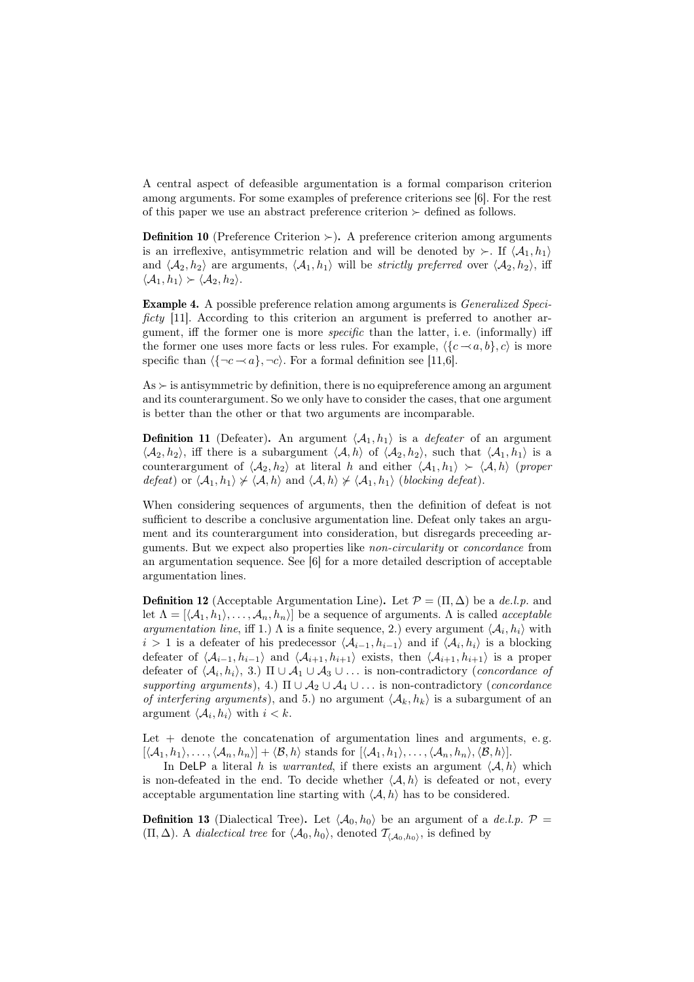A central aspect of defeasible argumentation is a formal comparison criterion among arguments. For some examples of preference criterions see [6]. For the rest of this paper we use an abstract preference criterion  $\succ$  defined as follows.

**Definition 10** (Preference Criterion  $>$ ). A preference criterion among arguments is an irreflexive, antisymmetric relation and will be denoted by  $\succ$ . If  $\langle A_1, h_1 \rangle$ and  $\langle A_2, h_2 \rangle$  are arguments,  $\langle A_1, h_1 \rangle$  will be *strictly preferred* over  $\langle A_2, h_2 \rangle$ , iff  $\langle \mathcal{A}_1, h_1 \rangle \succ \langle \mathcal{A}_2, h_2 \rangle$ .

Example 4. A possible preference relation among arguments is Generalized Specificty [11]. According to this criterion an argument is preferred to another argument, iff the former one is more specific than the latter, i. e. (informally) iff the former one uses more facts or less rules. For example,  $\langle {c-\alpha, b}, c \rangle$  is more specific than  $\langle \{\neg c \rightarrow a\}, \neg c \rangle$ . For a formal definition see [11,6].

 $As \succ$  is antisymmetric by definition, there is no equipreference among an argument and its counterargument. So we only have to consider the cases, that one argument is better than the other or that two arguments are incomparable.

**Definition 11** (Defeater). An argument  $\langle A_1, h_1 \rangle$  is a *defeater* of an argument  $\langle A_2, h_2 \rangle$ , iff there is a subargument  $\langle A, h \rangle$  of  $\langle A_2, h_2 \rangle$ , such that  $\langle A_1, h_1 \rangle$  is a counterargument of  $\langle A_2, h_2 \rangle$  at literal h and either  $\langle A_1, h_1 \rangle \succ \langle A, h \rangle$  (proper defeat) or  $\langle A_1, h_1 \rangle \not\succ \langle A, h \rangle$  and  $\langle A, h \rangle \not\succ \langle A_1, h_1 \rangle$  (blocking defeat).

When considering sequences of arguments, then the definition of defeat is not sufficient to describe a conclusive argumentation line. Defeat only takes an argument and its counterargument into consideration, but disregards preceeding arguments. But we expect also properties like non-circularity or concordance from an argumentation sequence. See [6] for a more detailed description of acceptable argumentation lines.

**Definition 12** (Acceptable Argumentation Line). Let  $\mathcal{P} = (\Pi, \Delta)$  be a de.l.p. and let  $\Lambda = [\langle A_1, h_1 \rangle, \ldots, A_n, h_n \rangle]$  be a sequence of arguments.  $\Lambda$  is called *acceptable* argumentation line, iff 1.)  $\Lambda$  is a finite sequence, 2.) every argument  $\langle A_i, h_i \rangle$  with  $i > 1$  is a defeater of his predecessor  $\langle A_{i-1}, h_{i-1} \rangle$  and if  $\langle A_i, h_i \rangle$  is a blocking defeater of  $\langle A_{i-1}, h_{i-1} \rangle$  and  $\langle A_{i+1}, h_{i+1} \rangle$  exists, then  $\langle A_{i+1}, h_{i+1} \rangle$  is a proper defeater of  $\langle A_i, h_i \rangle$ , 3.)  $\Pi \cup A_1 \cup A_3 \cup \ldots$  is non-contradictory (*concordance of* supporting arguments), 4.)  $\Pi \cup A_2 \cup A_4 \cup \ldots$  is non-contradictory (*concordance* of interfering arguments), and 5.) no argument  $\langle A_k, h_k \rangle$  is a subargument of an argument  $\langle A_i, h_i \rangle$  with  $i < k$ .

Let  $+$  denote the concatenation of argumentation lines and arguments, e.g.  $[\langle A_1, h_1 \rangle, \ldots, \langle A_n, h_n \rangle] + \langle \mathcal{B}, h \rangle$  stands for  $[\langle A_1, h_1 \rangle, \ldots, \langle A_n, h_n \rangle, \langle \mathcal{B}, h \rangle].$ 

In DeLP a literal h is warranted, if there exists an argument  $\langle A, h \rangle$  which is non-defeated in the end. To decide whether  $\langle A, h \rangle$  is defeated or not, every acceptable argumentation line starting with  $\langle A, h \rangle$  has to be considered.

**Definition 13** (Dialectical Tree). Let  $\langle A_0, h_0 \rangle$  be an argument of a de.l.p.  $\mathcal{P} =$  $(\Pi, \Delta)$ . A *dialectical tree* for  $\langle A_0, h_0 \rangle$ , denoted  $\mathcal{T}_{\langle A_0, h_0 \rangle}$ , is defined by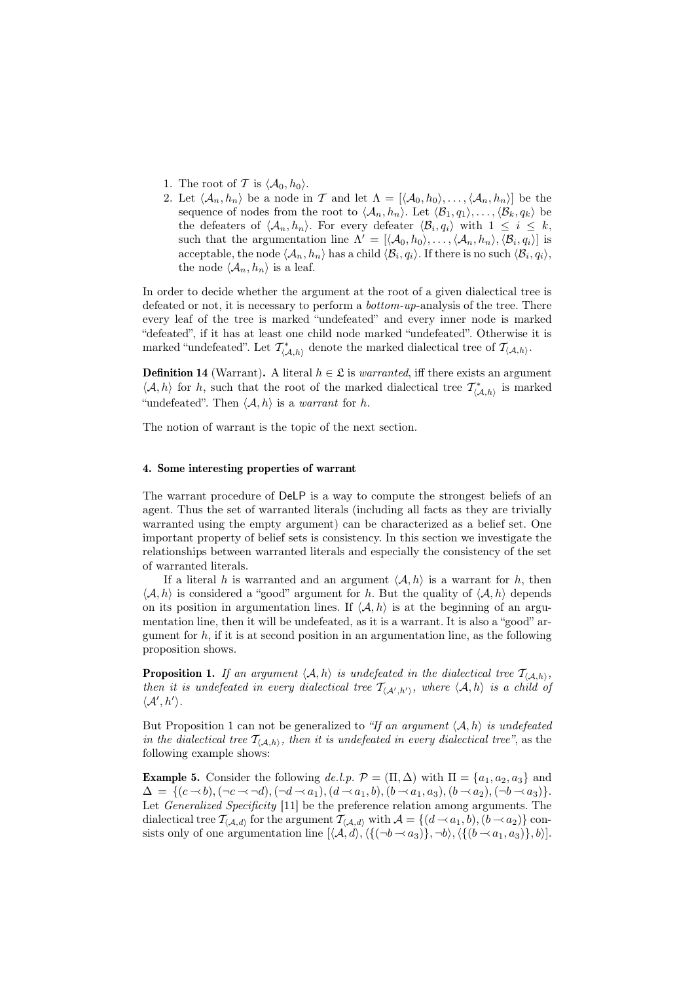- 1. The root of T is  $\langle A_0, h_0 \rangle$ .
- 2. Let  $\langle A_n, h_n \rangle$  be a node in T and let  $\Lambda = [\langle A_0, h_0 \rangle, \ldots, \langle A_n, h_n \rangle]$  be the sequence of nodes from the root to  $\langle A_n, h_n \rangle$ . Let  $\langle B_1, q_1 \rangle, \ldots, \langle B_k, q_k \rangle$  be the defeaters of  $\langle A_n, h_n \rangle$ . For every defeater  $\langle B_i, q_i \rangle$  with  $1 \leq i \leq k$ , such that the argumentation line  $\Lambda' = [\langle A_0, h_0 \rangle, \ldots, \langle A_n, h_n \rangle, \langle B_i, q_i \rangle]$  is acceptable, the node  $\langle \mathcal{A}_n, h_n\rangle$  has a child  $\langle \mathcal{B}_i, q_i\rangle$ . If there is no such  $\langle \mathcal{B}_i, q_i\rangle$ , the node  $\langle A_n, h_n \rangle$  is a leaf.

In order to decide whether the argument at the root of a given dialectical tree is defeated or not, it is necessary to perform a bottom-up-analysis of the tree. There every leaf of the tree is marked "undefeated" and every inner node is marked "defeated", if it has at least one child node marked "undefeated". Otherwise it is marked "undefeated". Let  $\mathcal{T}^*_{\langle A,h\rangle}$  denote the marked dialectical tree of  $\mathcal{T}_{\langle A,h\rangle}$ .

**Definition 14** (Warrant). A literal  $h \in \mathfrak{L}$  is *warranted*, iff there exists an argument  $\langle A, h \rangle$  for h, such that the root of the marked dialectical tree  $\mathcal{T}^*_{\langle A, h \rangle}$  is marked "undefeated". Then  $\langle A, h \rangle$  is a *warrant* for h.

The notion of warrant is the topic of the next section.

#### 4. Some interesting properties of warrant

The warrant procedure of DeLP is a way to compute the strongest beliefs of an agent. Thus the set of warranted literals (including all facts as they are trivially warranted using the empty argument) can be characterized as a belief set. One important property of belief sets is consistency. In this section we investigate the relationships between warranted literals and especially the consistency of the set of warranted literals.

If a literal h is warranted and an argument  $\langle A, h \rangle$  is a warrant for h, then  $\langle A, h \rangle$  is considered a "good" argument for h. But the quality of  $\langle A, h \rangle$  depends on its position in argumentation lines. If  $\langle A, h \rangle$  is at the beginning of an argumentation line, then it will be undefeated, as it is a warrant. It is also a "good" argument for  $h$ , if it is at second position in an argumentation line, as the following proposition shows.

**Proposition 1.** If an argument  $\langle A, h \rangle$  is undefeated in the dialectical tree  $\mathcal{T}_{(\mathcal{A},h)}$ , then it is undefeated in every dialectical tree  $\mathcal{T}_{\langle A',h'\rangle}$ , where  $\langle A, h \rangle$  is a child of  $\langle A', h' \rangle$ .

But Proposition 1 can not be generalized to "If an argument  $\langle A, h \rangle$  is undefeated in the dialectical tree  $T_{\langle A,h\rangle}$ , then it is undefeated in every dialectical tree", as the following example shows:

**Example 5.** Consider the following de.l.p.  $\mathcal{P} = (\Pi, \Delta)$  with  $\Pi = \{a_1, a_2, a_3\}$  and  $\Delta = \{ (c \prec b), (\neg c \prec \neg d), (\neg d \prec a_1), (d \prec a_1, b), (b \prec a_1, a_3), (b \prec a_2), (\neg b \prec a_3) \}.$ Let Generalized Specificity [11] be the preference relation among arguments. The dialectical tree  $\mathcal{T}_{(\mathcal{A},d)}$  for the argument  $\mathcal{T}_{(\mathcal{A},d)}$  with  $\mathcal{A} = \{(d \prec a_1,b),(b \prec a_2)\}$  consists only of one argumentation line  $[\langle A, d \rangle, \langle \{(-b \prec a_3)\}, \neg b \rangle, \langle \{(b \prec a_1, a_3)\}, b \rangle].$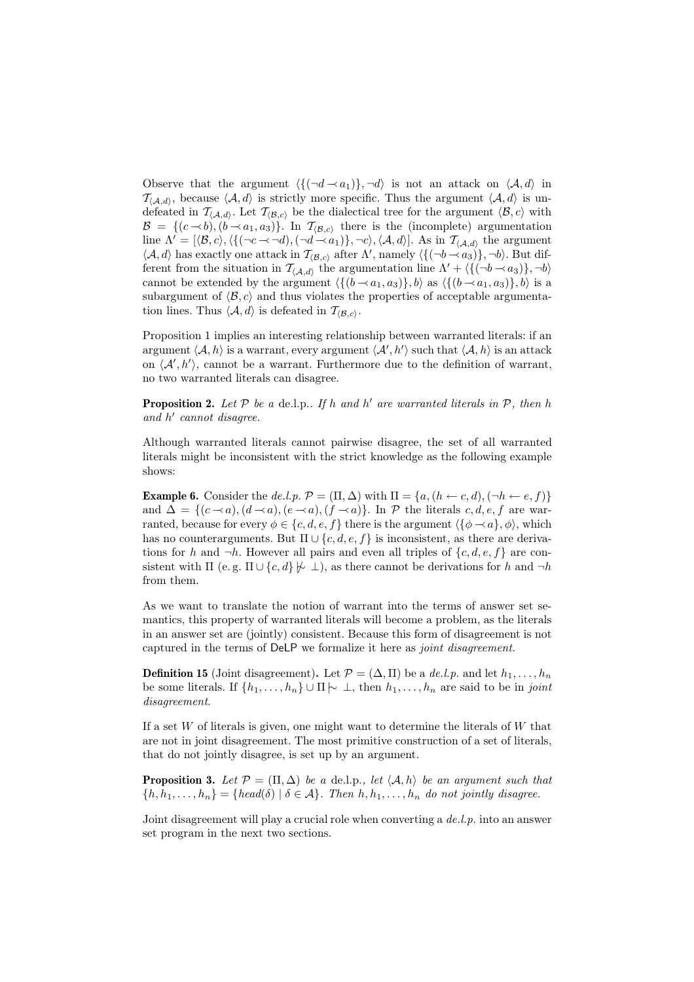Observe that the argument  $\langle \{(\neg d \rightarrow a_1)\}, \neg d \rangle$  is not an attack on  $\langle A, d \rangle$  in  $\mathcal{T}_{(A,d)}$ , because  $\langle A, d \rangle$  is strictly more specific. Thus the argument  $\langle A, d \rangle$  is undefeated in  $\mathcal{T}_{\langle A,d \rangle}$ . Let  $\mathcal{T}_{\langle \mathcal{B},c \rangle}$  be the dialectical tree for the argument  $\langle \mathcal{B}, c \rangle$  with  $\mathcal{B} = \{ (c \rightarrow b), (b \rightarrow a_1, a_3) \}.$  In  $\mathcal{T}_{(\mathcal{B},c)}$  there is the (incomplete) argumentation line  $\Lambda' = [\langle \mathcal{B}, c \rangle, \langle \{(\neg c \prec \neg d), (\neg d \prec a_1)\}, \neg c \rangle, \langle \mathcal{A}, d \rangle]$ . As in  $\mathcal{T}_{\langle \mathcal{A}, d \rangle}$  the argument  $\langle A, d \rangle$  has exactly one attack in  $\mathcal{T}_{\langle B, c \rangle}$  after  $\Lambda'$ , namely  $\langle \{ (\neg b \rightarrow a_3) \}, \neg b \rangle$ . But different from the situation in  $\mathcal{T}_{\langle A,d\rangle}$  the argumentation line  $\Lambda' + \langle \{(\neg b \rightarrow a_3)\}, \neg b \rangle$ cannot be extended by the argument  $\langle \{(b \prec a_1, a_3)\}, b \rangle$  as  $\langle \{(b \prec a_1, a_3)\}, b \rangle$  is a subargument of  $\langle \mathcal{B}, c \rangle$  and thus violates the properties of acceptable argumentation lines. Thus  $\langle A, d \rangle$  is defeated in  $\mathcal{T}_{\langle \mathcal{B}, c \rangle}$ .

Proposition 1 implies an interesting relationship between warranted literals: if an argument  $\langle A, h \rangle$  is a warrant, every argument  $\langle A', h' \rangle$  such that  $\langle A, h \rangle$  is an attack on  $\langle A', h' \rangle$ , cannot be a warrant. Furthermore due to the definition of warrant, no two warranted literals can disagree.

**Proposition 2.** Let  $P$  be a de.l.p.. If h and h' are warranted literals in  $P$ , then h and h ′ cannot disagree.

Although warranted literals cannot pairwise disagree, the set of all warranted literals might be inconsistent with the strict knowledge as the following example shows:

**Example 6.** Consider the de.l.p.  $\mathcal{P} = (\Pi, \Delta)$  with  $\Pi = \{a, (h \leftarrow c, d), (\neg h \leftarrow e, f)\}$ and  $\Delta = \{(c \prec a), (d \prec a), (e \prec a), (f \prec a)\}\$ . In  $\mathcal P$  the literals  $c, d, e, f$  are warranted, because for every  $\phi \in \{c, d, e, f\}$  there is the argument  $\langle {\phi \rightarrow a}, \phi \rangle$ , which has no counterarguments. But  $\Pi \cup \{c, d, e, f\}$  is inconsistent, as there are derivations for h and  $\neg h$ . However all pairs and even all triples of  $\{c, d, e, f\}$  are consistent with  $\Pi$  (e.g.  $\Pi \cup \{c, d\} \not\mapsto \bot$ ), as there cannot be derivations for h and  $\neg h$ from them.

As we want to translate the notion of warrant into the terms of answer set semantics, this property of warranted literals will become a problem, as the literals in an answer set are (jointly) consistent. Because this form of disagreement is not captured in the terms of DeLP we formalize it here as joint disagreement.

**Definition 15** (Joint disagreement). Let  $\mathcal{P} = (\Delta, \Pi)$  be a de.l.p. and let  $h_1, \ldots, h_n$ be some literals. If  $\{h_1, \ldots, h_n\} \cup \Pi \rightarrow \bot$ , then  $h_1, \ldots, h_n$  are said to be in joint disagreement.

If a set  $W$  of literals is given, one might want to determine the literals of  $W$  that are not in joint disagreement. The most primitive construction of a set of literals, that do not jointly disagree, is set up by an argument.

**Proposition 3.** Let  $\mathcal{P} = (\Pi, \Delta)$  be a de.l.p., let  $\langle A, h \rangle$  be an argument such that  ${h, h_1, \ldots, h_n} = {head(\delta) | \delta \in \mathcal{A}}$ . Then  $h, h_1, \ldots, h_n$  do not jointly disagree.

Joint disagreement will play a crucial role when converting a de.l.p. into an answer set program in the next two sections.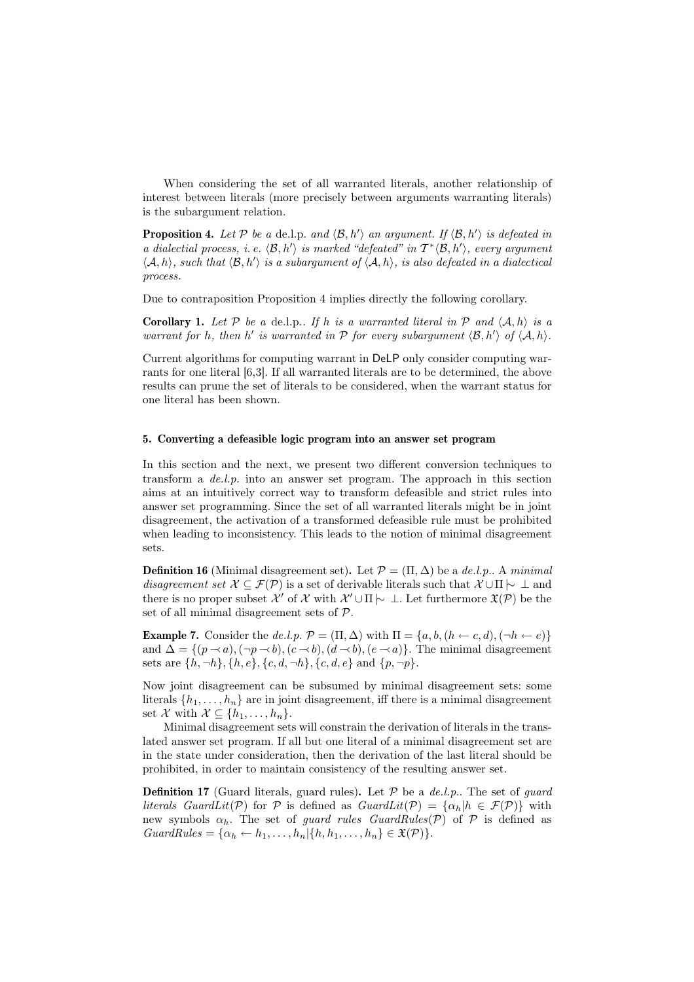When considering the set of all warranted literals, another relationship of interest between literals (more precisely between arguments warranting literals) is the subargument relation.

**Proposition 4.** Let P be a de.l.p. and  $\langle \mathcal{B}, h' \rangle$  an argument. If  $\langle \mathcal{B}, h' \rangle$  is defeated in a dialectial process, i.e.  $\langle \mathcal{B}, h' \rangle$  is marked "defeated" in  $T^* \langle \mathcal{B}, h' \rangle$ , every argument  $\langle A, h \rangle$ , such that  $\langle B, h' \rangle$  is a subargument of  $\langle A, h \rangle$ , is also defeated in a dialectical process.

Due to contraposition Proposition 4 implies directly the following corollary.

**Corollary 1.** Let P be a de.l.p.. If h is a warranted literal in P and  $\langle A, h \rangle$  is a warrant for h, then h' is warranted in  $P$  for every subargument  $\langle \mathcal{B}, h' \rangle$  of  $\langle A, h \rangle$ .

Current algorithms for computing warrant in DeLP only consider computing warrants for one literal [6,3]. If all warranted literals are to be determined, the above results can prune the set of literals to be considered, when the warrant status for one literal has been shown.

## 5. Converting a defeasible logic program into an answer set program

In this section and the next, we present two different conversion techniques to transform a de.l.p. into an answer set program. The approach in this section aims at an intuitively correct way to transform defeasible and strict rules into answer set programming. Since the set of all warranted literals might be in joint disagreement, the activation of a transformed defeasible rule must be prohibited when leading to inconsistency. This leads to the notion of minimal disagreement sets.

**Definition 16** (Minimal disagreement set). Let  $\mathcal{P} = (\Pi, \Delta)$  be a de.l.p.. A minimal disagreement set  $\mathcal{X} \subseteq \mathcal{F}(\mathcal{P})$  is a set of derivable literals such that  $\mathcal{X} \cup \Pi$   $\sim \bot$  and there is no proper subset  $\mathcal{X}'$  of  $\mathcal{X}$  with  $\mathcal{X}' \cup \Pi \rightarrow \bot$ . Let furthermore  $\mathfrak{X}(\mathcal{P})$  be the set of all minimal disagreement sets of P.

**Example 7.** Consider the de.l.p.  $\mathcal{P} = (\Pi, \Delta)$  with  $\Pi = \{a, b, (h \leftarrow c, d), (\neg h \leftarrow e)\}$ and  $\Delta = \{(p \rightarrow a), (\neg p \rightarrow b), (c \rightarrow b), (d \rightarrow b), (e \rightarrow a)\}.$  The minimal disagreement sets are  $\{h, \neg h\}, \{h, e\}, \{c, d, \neg h\}, \{c, d, e\}$  and  $\{p, \neg p\}.$ 

Now joint disagreement can be subsumed by minimal disagreement sets: some literals  $\{h_1, \ldots, h_n\}$  are in joint disagreement, iff there is a minimal disagreement set X with  $\mathcal{X} \subseteq \{h_1, \ldots, h_n\}.$ 

Minimal disagreement sets will constrain the derivation of literals in the translated answer set program. If all but one literal of a minimal disagreement set are in the state under consideration, then the derivation of the last literal should be prohibited, in order to maintain consistency of the resulting answer set.

**Definition 17** (Guard literals, guard rules). Let  $P$  be a de.l.p.. The set of *guard* literals GuardLit(P) for P is defined as  $GuardLit(\mathcal{P}) = {\alpha_h | h \in \mathcal{F}(\mathcal{P})}$  with new symbols  $\alpha_h$ . The set of *guard rules GuardRules(P)* of P is defined as  $GuardRules = {\alpha_h \leftarrow h_1, \ldots, h_n | \{h, h_1, \ldots, h_n\} \in \mathfrak{X}(\mathcal{P})\}.$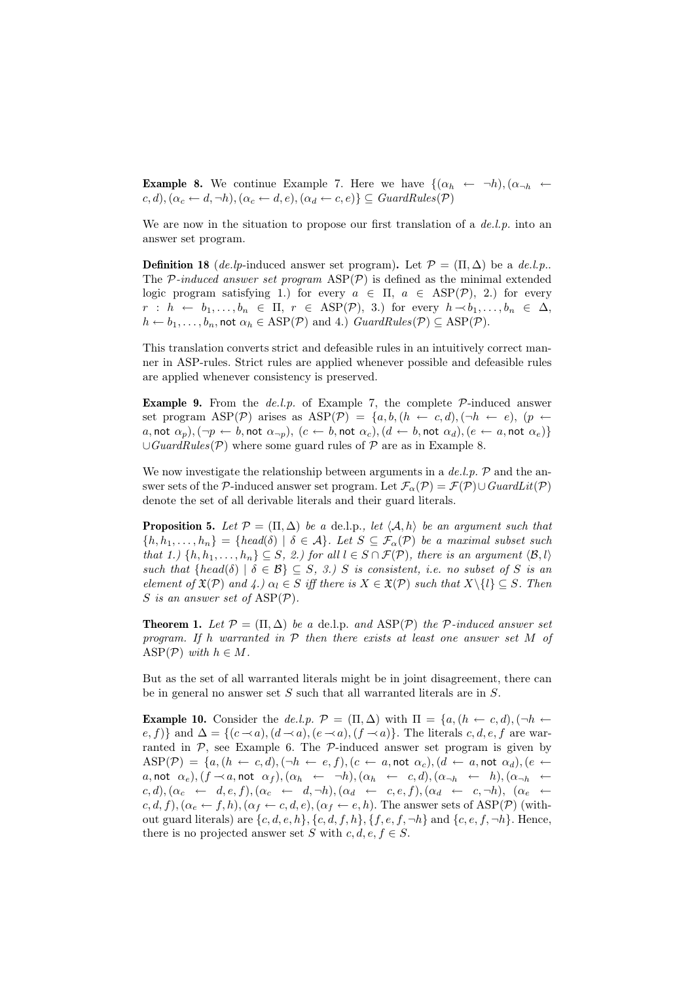**Example 8.** We continue Example 7. Here we have  $\{(\alpha_h \leftarrow \neg h), (\alpha_{\neg h} \leftarrow \neg h)\}$  $(c, d), (\alpha_c \leftarrow d, \neg h), (\alpha_c \leftarrow d, e), (\alpha_d \leftarrow c, e) \subseteq GuardRules(\mathcal{P})$ 

We are now in the situation to propose our first translation of a  $de.l.p.$  into an answer set program.

**Definition 18** (de.lp-induced answer set program). Let  $\mathcal{P} = (\Pi, \Delta)$  be a de.l.p.. The  $P\text{-}induced answer set program  $ASP(\mathcal{P})$  is defined as the minimal extended$ logic program satisfying 1.) for every  $a \in \Pi$ ,  $a \in \text{ASP}(\mathcal{P})$ , 2.) for every  $r : h \leftarrow b_1, \ldots, b_n \in \Pi, r \in \text{ASP}(\mathcal{P}), 3.$  for every  $h \rightarrow b_1, \ldots, b_n \in \Delta$ ,  $h \leftarrow b_1, \ldots, b_n$ , not  $\alpha_h \in \text{ASP}(\mathcal{P})$  and 4.)  $GuardRules(\mathcal{P}) \subseteq \text{ASP}(\mathcal{P})$ .

This translation converts strict and defeasible rules in an intuitively correct manner in ASP-rules. Strict rules are applied whenever possible and defeasible rules are applied whenever consistency is preserved.

**Example 9.** From the de.l.p. of Example 7, the complete  $P$ -induced answer set program ASP(P) arises as ASP(P) =  $\{a, b, (h \leftarrow c, d), (\neg h \leftarrow e), (p \leftarrow e)\}$ a, not  $\alpha_p$ ),  $(\neg p \leftarrow b$ , not  $\alpha_{\neg p}$ ),  $(c \leftarrow b$ , not  $\alpha_c$ ),  $(d \leftarrow b$ , not  $\alpha_d$ ),  $(e \leftarrow a$ , not  $\alpha_e)$ }  $\cup$ GuardRules(P) where some guard rules of P are as in Example 8.

We now investigate the relationship between arguments in a  $de.l.p.$   $\mathcal{P}$  and the answer sets of the P-induced answer set program. Let  $\mathcal{F}_{\alpha}(\mathcal{P}) = \mathcal{F}(\mathcal{P}) \cup \mathit{GuardLit}(\mathcal{P})$ denote the set of all derivable literals and their guard literals.

**Proposition 5.** Let  $\mathcal{P} = (\Pi, \Delta)$  be a de.l.p., let  $\langle \mathcal{A}, h \rangle$  be an argument such that  ${h, h_1, \ldots, h_n} = {head(\delta) | \delta \in \mathcal{A}}$ . Let  $S \subseteq \mathcal{F}_{\alpha}(\mathcal{P})$  be a maximal subset such that 1.)  $\{h, h_1, \ldots, h_n\} \subseteq S$ , 2.) for all  $l \in S \cap \mathcal{F}(\mathcal{P})$ , there is an argument  $\langle \mathcal{B}, l \rangle$ such that  ${head(\delta) | \delta \in \mathcal{B}} \subseteq S, 3.$  S is consistent, i.e. no subset of S is an element of  $\mathfrak{X}(\mathcal{P})$  and  $\mathfrak{L}$ .)  $\alpha_l \in S$  iff there is  $X \in \mathfrak{X}(\mathcal{P})$  such that  $X \setminus \{l\} \subseteq S$ . Then S is an answer set of  $\text{ASP}(\mathcal{P})$ .

**Theorem 1.** Let  $\mathcal{P} = (\Pi, \Delta)$  be a de.l.p. and ASP( $\mathcal{P}$ ) the  $\mathcal{P}$ -induced answer set program. If h warranted in  $P$  then there exists at least one answer set M of ASP( $P$ ) with  $h \in M$ .

But as the set of all warranted literals might be in joint disagreement, there can be in general no answer set  $S$  such that all warranted literals are in  $S$ .

**Example 10.** Consider the de.l.p.  $\mathcal{P} = (\Pi, \Delta)$  with  $\Pi = \{a, (h \leftarrow c, d), (\neg h \leftarrow c, d)\}$ e, f)} and  $\Delta = \{(c \prec a), (d \prec a), (e \prec a), (f \prec a)\}.$  The literals c, d, e, f are warranted in  $P$ , see Example 6. The  $P$ -induced answer set program is given by  $\text{ASP}(\mathcal{P}) = \{a, (h \leftarrow c, d), (\neg h \leftarrow e, f), (c \leftarrow a, \text{not } \alpha_c), (d \leftarrow a, \text{not } \alpha_d), (e \leftarrow c, d)\}$  $a, \text{not } \alpha_e$ ),  $(f \rightarrow a, \text{not } \alpha_f)$ ,  $(\alpha_h \leftarrow \neg h)$ ,  $(\alpha_h \leftarrow c, d)$ ,  $(\alpha_{\neg h} \leftarrow h)$ ,  $(\alpha_{\neg h} \leftarrow$  $(c, d), (\alpha_c \leftarrow d, e, f), (\alpha_c \leftarrow d, \neg h), (\alpha_d \leftarrow c, e, f), (\alpha_d \leftarrow c, \neg h), (\alpha_e \leftarrow f)$  $c, d, f), (\alpha_e \leftarrow f, h), (\alpha_f \leftarrow c, d, e), (\alpha_f \leftarrow e, h).$  The answer sets of ASP(P) (without guard literals) are  $\{c, d, e, h\}, \{c, d, f, h\}, \{f, e, f, \neg h\}$  and  $\{c, e, f, \neg h\}$ . Hence, there is no projected answer set S with  $c, d, e, f \in S$ .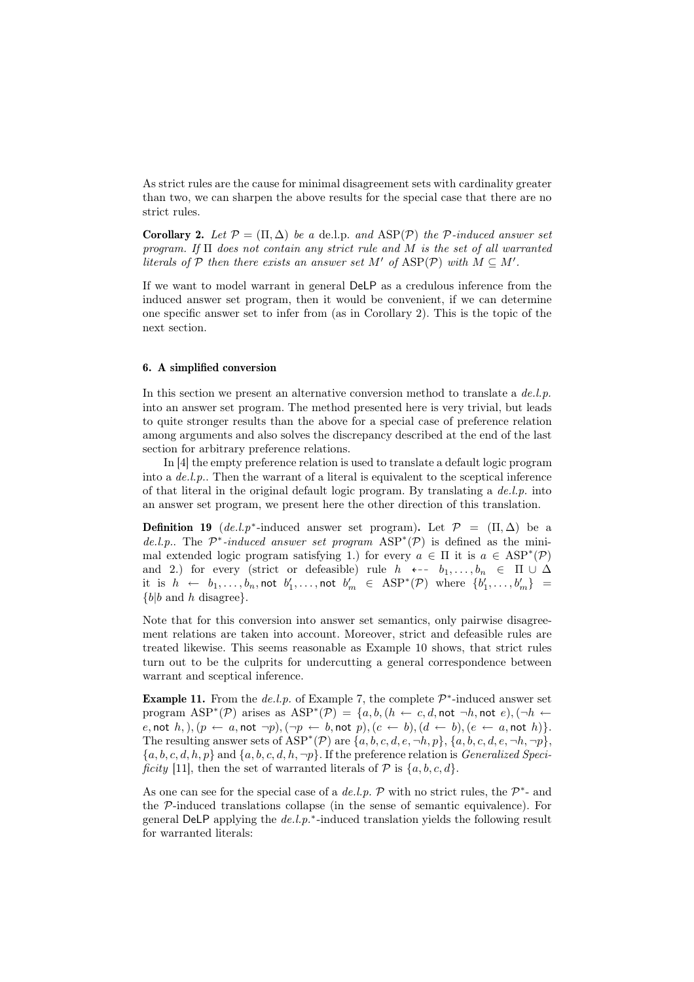As strict rules are the cause for minimal disagreement sets with cardinality greater than two, we can sharpen the above results for the special case that there are no strict rules.

**Corollary 2.** Let  $\mathcal{P} = (\Pi, \Delta)$  be a de.l.p. and  $\text{ASP}(\mathcal{P})$  the  $\mathcal{P}\text{-induced answer set}$ program. If  $\Pi$  does not contain any strict rule and  $M$  is the set of all warranted literals of P then there exists an answer set M' of  $\text{ASP}(\mathcal{P})$  with  $M \subseteq M'$ .

If we want to model warrant in general DeLP as a credulous inference from the induced answer set program, then it would be convenient, if we can determine one specific answer set to infer from (as in Corollary 2). This is the topic of the next section.

## 6. A simplified conversion

In this section we present an alternative conversion method to translate a  $de.l.p$ . into an answer set program. The method presented here is very trivial, but leads to quite stronger results than the above for a special case of preference relation among arguments and also solves the discrepancy described at the end of the last section for arbitrary preference relations.

In [4] the empty preference relation is used to translate a default logic program into a de.l.p.. Then the warrant of a literal is equivalent to the sceptical inference of that literal in the original default logic program. By translating a  $de.l.p.$  into an answer set program, we present here the other direction of this translation.

**Definition 19**  $(de.l.p^*$ -induced answer set program). Let  $\mathcal{P} = (\Pi, \Delta)$  be a de.l.p.. The  $\mathcal{P}^*$ -induced answer set program  $\text{ASP}^*(\mathcal{P})$  is defined as the minimal extended logic program satisfying 1.) for every  $a \in \Pi$  it is  $a \in \text{ASP}^*(\mathcal{P})$ and 2.) for every (strict or defeasible) rule  $h \leftarrow b_1, \ldots, b_n \in \Pi \cup \Delta$ it is  $h$   $\leftarrow$   $b_1, \ldots, b_n,$  not  $b'_1, \ldots,$  not  $b'_m$   $\in$   $\text{ASP}^*(\mathcal{P})$  where  $\{b'_1, \ldots, b'_m\}$  =  ${b|b \text{ and } h \text{ disagree}}.$ 

Note that for this conversion into answer set semantics, only pairwise disagreement relations are taken into account. Moreover, strict and defeasible rules are treated likewise. This seems reasonable as Example 10 shows, that strict rules turn out to be the culprits for undercutting a general correspondence between warrant and sceptical inference.

**Example 11.** From the  $de.l.p.$  of Example 7, the complete  $\mathcal{P}^*$ -induced answer set program  $ASP^*(\mathcal{P})$  arises as  $ASP^*(\mathcal{P}) = \{a, b, (h \leftarrow c, d, \text{not } \neg h, \text{not } e), (\neg h \leftarrow c, d, \text{not } \neg h, \text{not } e\}$  $e, \text{not } h, \big)$ ,  $(p \leftarrow a, \text{not } \neg p)$ ,  $(\neg p \leftarrow b, \text{not } p)$ ,  $(c \leftarrow b)$ ,  $(d \leftarrow b)$ ,  $(e \leftarrow a, \text{not } h)$ . The resulting answer sets of  $ASP^*(\mathcal{P})$  are  $\{a, b, c, d, e, \neg h, p\}, \{a, b, c, d, e, \neg h, \neg p\},\$  ${a, b, c, d, h, p}$  and  ${a, b, c, d, h, \neg p}$ . If the preference relation is *Generalized Speci*ficity [11], then the set of warranted literals of  $P$  is  $\{a, b, c, d\}$ .

As one can see for the special case of a de.l.p.  $P$  with no strict rules, the  $P^*$ - and the P-induced translations collapse (in the sense of semantic equivalence). For general DeLP applying the  $de.l.p.*$ -induced translation yields the following result for warranted literals: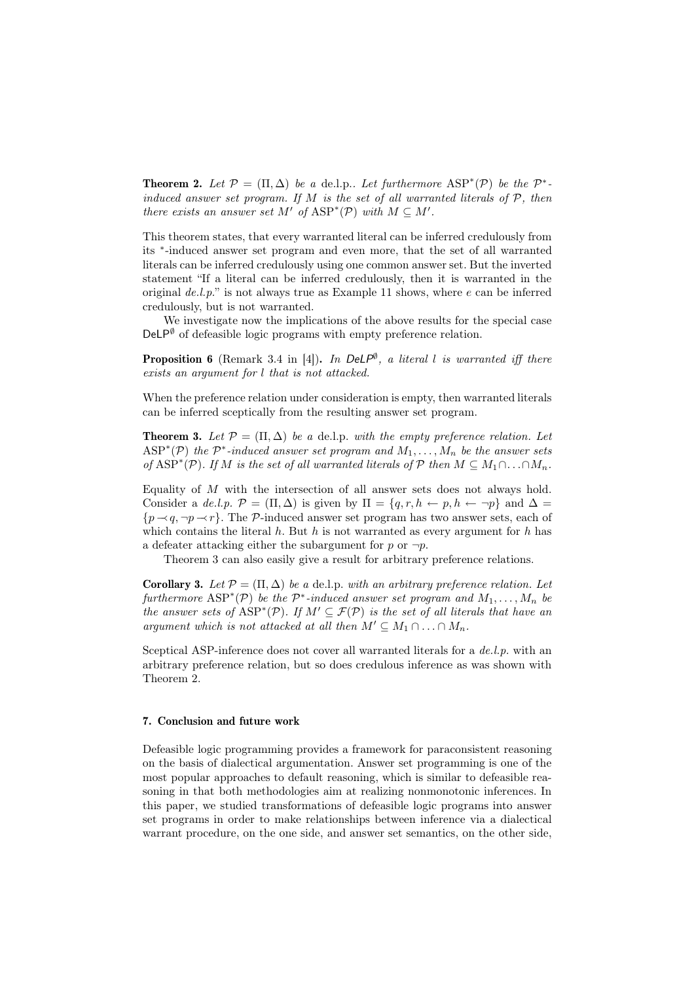**Theorem 2.** Let  $\mathcal{P} = (\Pi, \Delta)$  be a de.l.p.. Let furthermore  $\text{ASP}^*(\mathcal{P})$  be the  $\mathcal{P}^*$ induced answer set program. If  $M$  is the set of all warranted literals of  $P$ , then there exists an answer set M' of  $ASP^*(P)$  with  $M \subseteq M'$ .

This theorem states, that every warranted literal can be inferred credulously from its <sup>∗</sup> -induced answer set program and even more, that the set of all warranted literals can be inferred credulously using one common answer set. But the inverted statement "If a literal can be inferred credulously, then it is warranted in the original  $de.l.p.$ " is not always true as Example 11 shows, where  $e$  can be inferred credulously, but is not warranted.

We investigate now the implications of the above results for the special case  $DeLP^{\emptyset}$  of defeasible logic programs with empty preference relation.

**Proposition 6** (Remark 3.4 in [4]). In DeLP<sup> $\emptyset$ </sup>, a literal l is warranted iff there exists an argument for l that is not attacked.

When the preference relation under consideration is empty, then warranted literals can be inferred sceptically from the resulting answer set program.

**Theorem 3.** Let  $\mathcal{P} = (\Pi, \Delta)$  be a de.l.p. with the empty preference relation. Let  $\text{ASP}^*(\mathcal{P})$  the  $\mathcal{P}^*$ -induced answer set program and  $M_1, \ldots, M_n$  be the answer sets of ASP<sup>\*</sup>(P). If M is the set of all warranted literals of P then  $M \subseteq M_1 \cap ... \cap M_n$ .

Equality of  $M$  with the intersection of all answer sets does not always hold. Consider a de.l.p.  $\mathcal{P} = (\Pi, \Delta)$  is given by  $\Pi = \{q, r, h \leftarrow p, h \leftarrow \neg p\}$  and  $\Delta =$  ${p \rightarrow q, \neg p \rightarrow r}$ . The P-induced answer set program has two answer sets, each of which contains the literal  $h$ . But  $h$  is not warranted as every argument for  $h$  has a defeater attacking either the subargument for p or  $\neg p$ .

Theorem 3 can also easily give a result for arbitrary preference relations.

**Corollary 3.** Let  $\mathcal{P} = (\Pi, \Delta)$  be a de.l.p. with an arbitrary preference relation. Let furthermore  $\text{ASP}^*(\mathcal{P})$  be the  $\mathcal{P}^*$ -induced answer set program and  $M_1, \ldots, M_n$  be the answer sets of  $\text{ASP}^*(\mathcal{P})$ . If  $M' \subseteq \mathcal{F}(\mathcal{P})$  is the set of all literals that have an argument which is not attacked at all then  $M' \subseteq M_1 \cap ... \cap M_n$ .

Sceptical ASP-inference does not cover all warranted literals for a  $de.l.p.$  with an arbitrary preference relation, but so does credulous inference as was shown with Theorem 2.

# 7. Conclusion and future work

Defeasible logic programming provides a framework for paraconsistent reasoning on the basis of dialectical argumentation. Answer set programming is one of the most popular approaches to default reasoning, which is similar to defeasible reasoning in that both methodologies aim at realizing nonmonotonic inferences. In this paper, we studied transformations of defeasible logic programs into answer set programs in order to make relationships between inference via a dialectical warrant procedure, on the one side, and answer set semantics, on the other side,